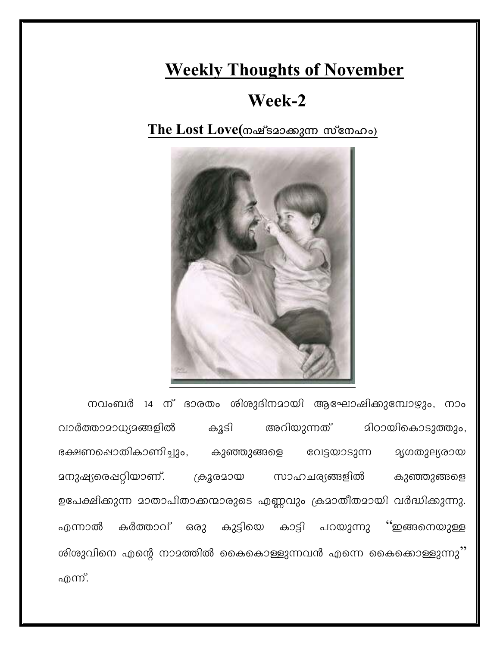## **Weekly Thoughts of November**

## Week-2

The Lost Love(നഷ്ടമാക്കുന്ന സ്നേഹം)



നവംബർ 14 ന് ഭാരതം ശിശുദിനമായി ആഘോഷിക്കുമ്പോഴും, നാം അറിയുന്നത് വാർത്താമാധ്യമങ്ങളിൽ കൂടി മിഠായികൊടുത്തും, ഭക്ഷണപ്പൊതികാണിച്ചും, കുഞ്ഞുങ്ങളെ വേട്ടയാടുന്ന **മൃഗതുല്യരായ** മനുഷ്യരെപ്പറ്റിയാണ്. ക്രൂരമായ സാഹചര്യങ്ങളിൽ കുഞ്ഞുങ്ങളെ ഉപേക്ഷിക്കുന്ന മാതാപിതാക്കന്മാരുടെ എണ്ണവും ക്രമാതീതമായി വർദ്ധിക്കുന്നു. കർത്താവ് ഒരു കുട്ടിയെ കാട്ടി പറയുന്നു ് ഇങ്ങനെയുള്ള എന്നാൽ ശിശുവിനെ എന്റെ നാമത്തിൽ കൈകൊള്ളുന്നവൻ എന്നെ കൈക്കൊള്ളുന്നു'' എന്ന്.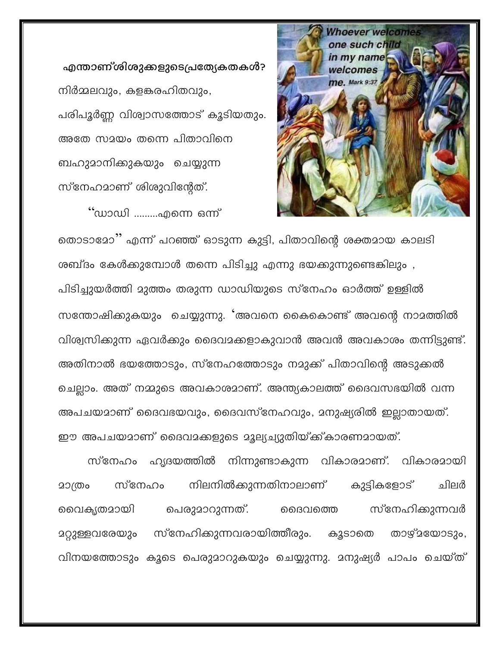എന്താണ്ശിശുക്കളുടെപ്രത്യേകതകൾ? നിർമ്മലവും, കളങ്കരഹിതവും, പരിപൂർണ്ണ വിശ്വാസത്തോട് കൂടിയതും. അതേ സമയം തന്നെ പിതാവിനെ ബഹുമാനിക്കുകയും ചെയ്യുന്ന സ്നേഹമാണ് ശിശുവിന്റേത്.

്ഡാഡി .........എന്നെ ഒന്ന്



തൊടാമോ'' എന്ന് പറഞ്ഞ് ഓടുന്ന കുട്ടി, പിതാവിന്റെ ശക്തമായ കാലടി ശബ്ദം കേൾക്കുമ്പോൾ തന്നെ പിടിച്ചു എന്നു ഭയക്കുന്നുണ്ടെങ്കിലും , പിടിച്ചുയർത്തി മുത്തം തരുന്ന ഡാഡിയുടെ സ്നേഹം ഓർത്ത് ഉള്ളിൽ സന്തോഷിക്കുകയും ചെയ്യുന്നു. 'അവനെ കൈകൊണ്ട് അവന്റെ നാമത്തിൽ വിശ്വസിക്കുന്ന ഏവർക്കും ദൈവമക്കളാകുവാൻ അവൻ അവകാശം തന്നിട്ടുണ്ട്. അതിനാൽ ഭയത്തോടും, സ്നേഹത്തോടും നമുക്ക് പിതാവിന്റെ അടുക്കൽ ചെല്ലാം. അത് നമ്മുടെ അവകാശമാണ്. അന്ത്യകാലത്ത് ദൈവസഭയിൽ വന്ന അപചയമാണ് ദൈവഭയവും, ദൈവസ്നേഹവും, മനുഷ്യരിൽ ഇല്ലാതായത്. ഈ അപചയമാണ് ദൈവമക്കളുടെ മൂല്യച്യുതിയ്ക്ക്കാരണമായത്.

സ്നേഹം ഹൃദയത്തിൽ നിന്നുണ്ടാകുന്ന വികാരമാണ്. വികാരമായി നിലനിൽക്കുന്നതിനാലാണ് കുട്ടികളോട് സ്നേഹം ചിലർ 20(തം വൈകൃതമായി സ്നേഹിക്കുന്നവർ പെരുമാറുന്നത്. ൈവത്തെ മറ്റുള്ളവരേയും സ്നേഹിക്കുന്നവരായിത്തീരും. കൂടാതെ താഴ്മയോടും, വിനയത്തോടും കൂടെ പെരുമാറുകയും ചെയ്യുന്നു. മനുഷ്യർ പാപം ചെയ്ത്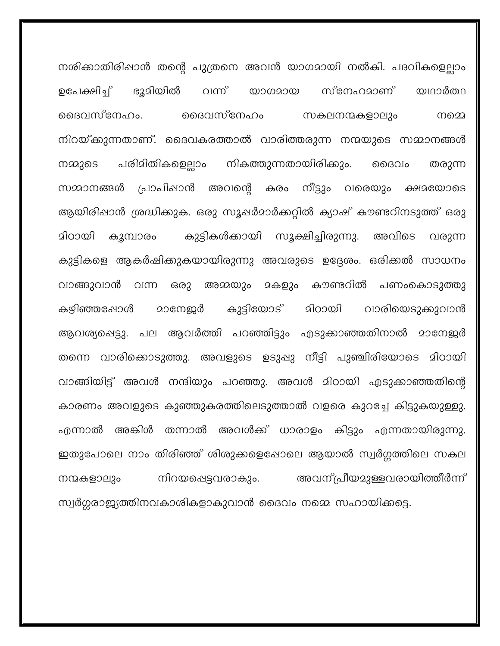നശിക്കാതിരിപ്പാൻ തന്റെ പുത്രനെ അവൻ യാഗമായി നൽകി. പദവികളെല്ലാം ഭൂമിയിൽ യഥാർത്ഥ ഉപേക്ഷിച്ച് വന്ന് സ്നേഹമാണ് യാഗമായ ദൈവസ്നേഹം. മൈവസ്നേഹം സകലനന്മകളാലും നമെ നിറയ്ക്കുന്നതാണ്. ദൈവകരത്താൽ വാരിത്തരുന്ന നന്മയുടെ സമ്മാനങ്ങൾ പരിമിതികളെല്ലാം നികത്തുന്നതായിരിക്കും. നമ്മുടെ ൈവം തരുന്ന അവന്റെ കരം നീട്ടും വരെയും ക്ഷമയോടെ സമാനങ്ങൾ പ്രാപിഷാൻ ആയിരിപ്പാൻ ശ്രദ്ധിക്കുക. ഒരു സൂപ്പർമാർക്കറ്റിൽ ക്യാഷ് കൗണ്ടറിനടുത്ത് ഒരു കുട്ടികൾക്കായി സൂക്ഷിച്ചിരുന്നു. മിഠായി കൂമ്പാരം അവിടെ വരുന്ന കുട്ടികളെ ആകർഷിക്കുകയായിരുന്നു അവരുടെ ഉദ്ദേശം. ഒരിക്കൽ സാധനം അമ്മയും മകളും കൗണ്ടറിൽ വാങ്ങുവാൻ വന്ന ഒരു പണംകൊടുത്തു കഴിഞ്ഞപ്പോൾ കുട്ടിയോട് 20നേ<u>ജ</u>ർ മിഠായി വാരിയെടുക്കുവാൻ ആവശ്യപ്പെട്ടു. പല ആവർത്തി പറഞ്ഞിട്ടും എടുക്കാഞ്ഞതിനാൽ മാനേജർ തന്നെ വാരിക്കൊടുത്തു. അവളുടെ ഉടുപ്പു നീട്ടി പുഞ്ചിരിയോടെ മിഠായി വാങ്ങിയിട്ട് അവൾ നന്ദിയും പറഞ്ഞു. അവൾ മിഠായി എടുക്കാഞ്ഞതിന്റെ കാരണം അവളുടെ കുഞ്ഞുകരത്തിലെടുത്താൽ വളരെ കുറച്ചേ കിട്ടുകയുള്ളു. അങ്കിൾ തന്നാൽ അവൾക്ക് ധാരാളം കിട്ടും എന്നതായിരുന്നു. ഫന്നാൽ **-**ഇതുപോലെ നാം തിരിഞ്ഞ് ശിശുക്കളെഷോലെ ആയാൽ സ്വർഗ്ഗത്തിലെ സകല അവന്പ്രീയമുള്ളവരായിത്തീർന്ന് നന്മകളാലും നിറയപ്പെട്ടവരാകും. സ്വർഗ്ഗരാജ്യത്തിനവകാശികളാകുവാൻ ദൈവം നമ്മെ സഹായിക്കട്ടെ.